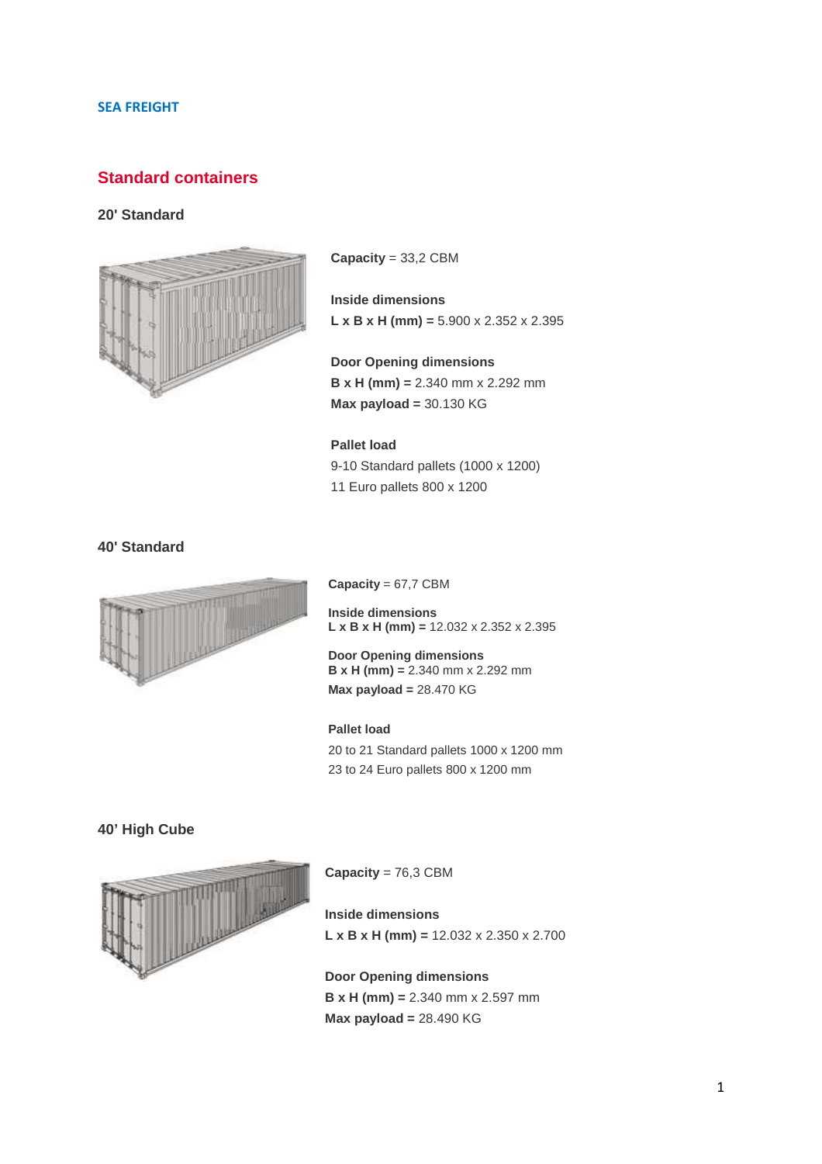### **SEA FREIGHT**

# **Standard containers**

### **20' Standard**



**Capacity** = 33,2 CBM

## **Inside dimensions L x B x H (mm) =** 5.900 x 2.352 x 2.395

**Door Opening dimensions B x H (mm) =** 2.340 mm x 2.292 mm **Max payload =** 30.130 KG

### **Pallet load**

9-10 Standard pallets (1000 x 1200) 11 Euro pallets 800 x 1200

**40' Standard** 



**Capacity** = 67,7 CBM

**Inside dimensions L x B x H (mm) =** 12.032 x 2.352 x 2.395

**Door Opening dimensions B x H (mm) =** 2.340 mm x 2.292 mm **Max payload =** 28.470 KG

#### **Pallet load**

20 to 21 Standard pallets 1000 x 1200 mm 23 to 24 Euro pallets 800 x 1200 mm

### **40' High Cube**



**Capacity** = 76,3 CBM

**Inside dimensions L x B x H (mm) =** 12.032 x 2.350 x 2.700

**Door Opening dimensions B x H (mm) =** 2.340 mm x 2.597 mm **Max payload =** 28.490 KG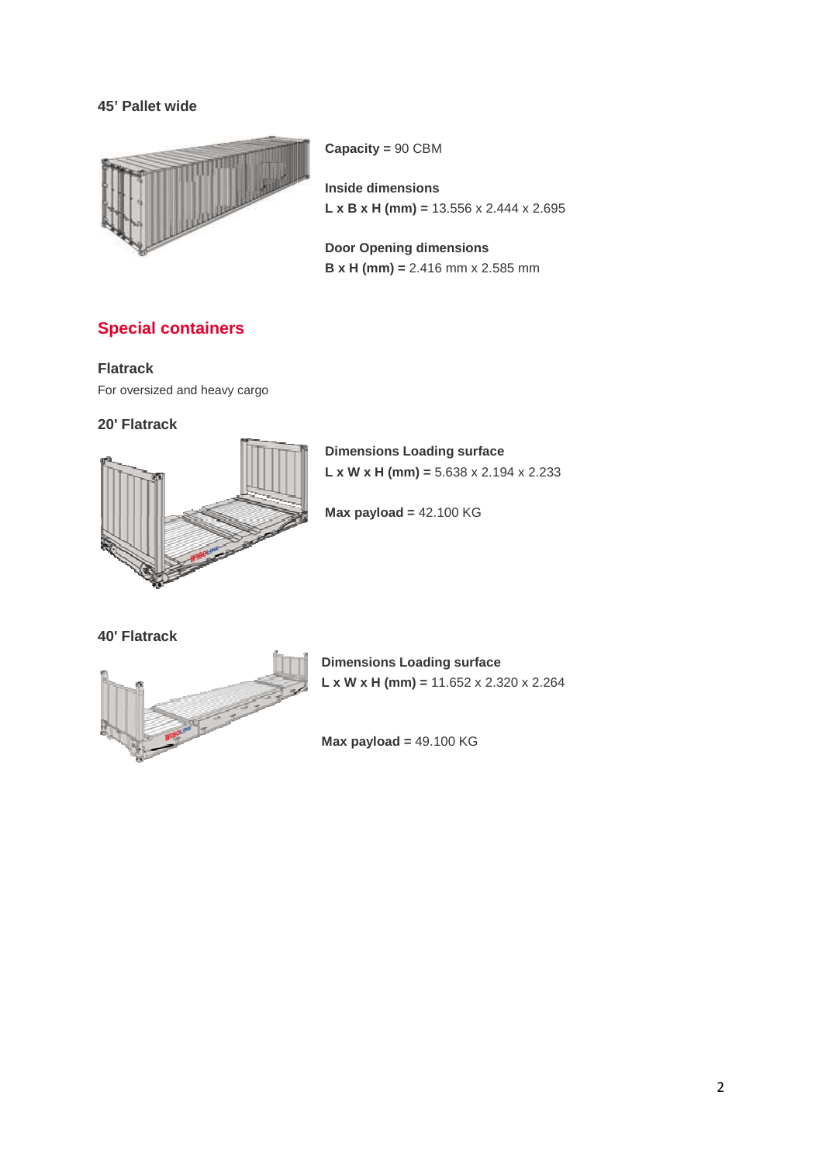## **45' Pallet wide**



**Capacity =** 90 CBM

**Inside dimensions L x B x H (mm) =** 13.556 x 2.444 x 2.695

**Door Opening dimensions B x H (mm) =** 2.416 mm x 2.585 mm

# **Special containers**

### **Flatrack**

For oversized and heavy cargo

## **20' Flatrack**



**Dimensions Loading surface L x W x H (mm) =** 5.638 x 2.194 x 2.233

**Max payload =** 42.100 KG

**40' Flatrack** 



**Dimensions Loading surface L x W x H (mm) =** 11.652 x 2.320 x 2.264

**Max payload =** 49.100 KG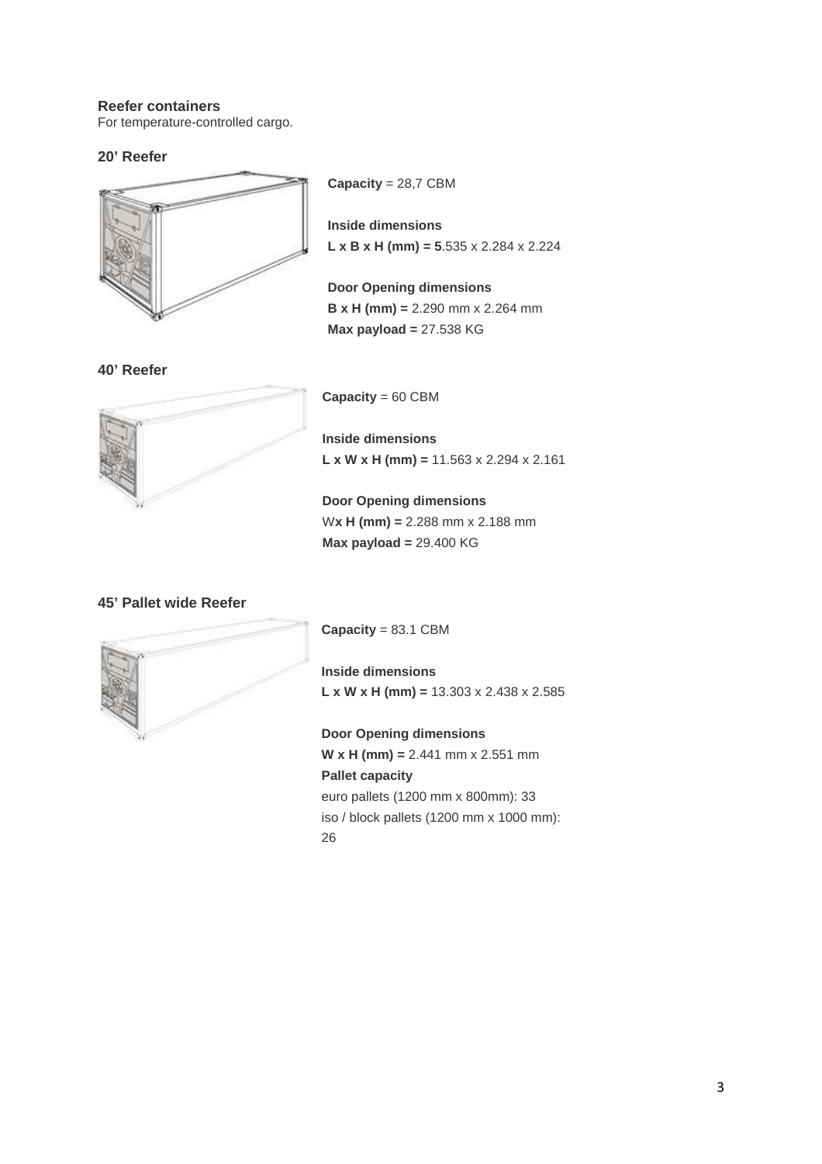### **Reefer containers**

For temperature-controlled cargo.

### **20' Reefer**



**40' Reefer** 

**Capacity** = 28,7 CBM

**Inside dimensions L x B x H (mm) = 5**.535 x 2.284 x 2.224

**Door Opening dimensions B x H (mm) =** 2.290 mm x 2.264 mm **Max payload =** 27.538 KG

**Capacity** = 60 CBM

**Inside dimensions L x W x H (mm) =** 11.563 x 2.294 x 2.161

**Door Opening dimensions** W**x H (mm) =** 2.288 mm x 2.188 mm **Max payload =** 29.400 KG

## **45' Pallet wide Reefer**



**Capacity** = 83.1 CBM

**Inside dimensions L x W x H (mm) =** 13.303 x 2.438 x 2.585

**Door Opening dimensions W x H (mm) =** 2.441 mm x 2.551 mm **Pallet capacity** euro pallets (1200 mm x 800mm): 33 iso / block pallets (1200 mm x 1000 mm): 26